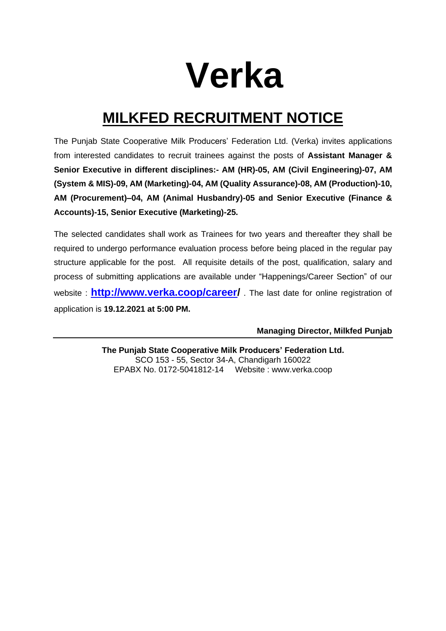# **Verka**

## **MILKFED RECRUITMENT NOTICE**

The Punjab State Cooperative Milk Producers' Federation Ltd. (Verka) invites applications from interested candidates to recruit trainees against the posts of **Assistant Manager & Senior Executive in different disciplines:- AM (HR)-05, AM (Civil Engineering)-07, AM (System & MIS)-09, AM (Marketing)-04, AM (Quality Assurance)-08, AM (Production)-10, AM (Procurement)–04, AM (Animal Husbandry)-05 and Senior Executive (Finance & Accounts)-15, Senior Executive (Marketing)-25.**

The selected candidates shall work as Trainees for two years and thereafter they shall be required to undergo performance evaluation process before being placed in the regular pay structure applicable for the post. All requisite details of the post, qualification, salary and process of submitting applications are available under "Happenings/Career Section" of our website : **[http://www.verka.coop/career/](http://www.verka.coop/career)** . The last date for online registration of application is **19.12.2021 at 5:00 PM.**

**Managing Director, Milkfed Punjab**

**The Punjab State Cooperative Milk Producers' Federation Ltd.** SCO 153 - 55, Sector 34-A, Chandigarh 160022 EPABX No. 0172-5041812-14 Website : [www.verka.coop](http://www.verka.coop/)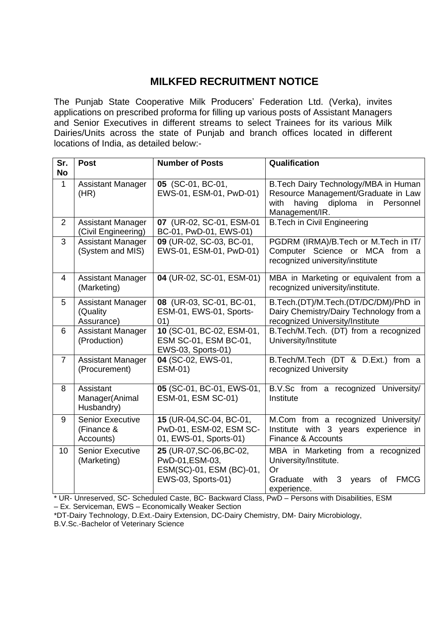### **MILKFED RECRUITMENT NOTICE**

The Punjab State Cooperative Milk Producers' Federation Ltd. (Verka), invites applications on prescribed proforma for filling up various posts of Assistant Managers and Senior Executives in different streams to select Trainees for its various Milk Dairies/Units across the state of Punjab and branch offices located in different locations of India, as detailed below:-

| Sr.            | <b>Post</b>                                        | <b>Number of Posts</b>                                                                        | Qualification                                                                                                                                  |
|----------------|----------------------------------------------------|-----------------------------------------------------------------------------------------------|------------------------------------------------------------------------------------------------------------------------------------------------|
| <b>No</b>      |                                                    |                                                                                               |                                                                                                                                                |
| $\mathbf{1}$   | <b>Assistant Manager</b><br>(HR)                   | 05 (SC-01, BC-01,<br>EWS-01, ESM-01, PwD-01)                                                  | B. Tech Dairy Technology/MBA in Human<br>Resource Management/Graduate in Law<br>having<br>diploma<br>with<br>in<br>Personnel<br>Management/IR. |
| $\overline{2}$ | <b>Assistant Manager</b><br>(Civil Engineering)    | 07 (UR-02, SC-01, ESM-01<br>BC-01, PwD-01, EWS-01)                                            | <b>B.Tech in Civil Engineering</b>                                                                                                             |
| 3              | <b>Assistant Manager</b><br>(System and MIS)       | 09 (UR-02, SC-03, BC-01,<br>EWS-01, ESM-01, PwD-01)                                           | PGDRM (IRMA)/B.Tech or M.Tech in IT/<br>Computer Science or MCA from a<br>recognized university/institute                                      |
| 4              | <b>Assistant Manager</b><br>(Marketing)            | 04 (UR-02, SC-01, ESM-01)                                                                     | MBA in Marketing or equivalent from a<br>recognized university/institute.                                                                      |
| 5              | <b>Assistant Manager</b><br>(Quality<br>Assurance) | 08 (UR-03, SC-01, BC-01,<br>ESM-01, EWS-01, Sports-<br>01)                                    | B.Tech.(DT)/M.Tech.(DT/DC/DM)/PhD in<br>Dairy Chemistry/Dairy Technology from a<br>recognized University/Institute                             |
| 6              | <b>Assistant Manager</b><br>(Production)           | 10 (SC-01, BC-02, ESM-01,<br>ESM SC-01, ESM BC-01,<br>EWS-03, Sports-01)                      | B.Tech/M.Tech. (DT) from a recognized<br>University/Institute                                                                                  |
| $\overline{7}$ | <b>Assistant Manager</b><br>(Procurement)          | 04 (SC-02, EWS-01,<br>ESM-01)                                                                 | B.Tech/M.Tech (DT & D.Ext.) from a<br>recognized University                                                                                    |
| 8              | Assistant<br>Manager(Animal<br>Husbandry)          | 05 (SC-01, BC-01, EWS-01,<br>ESM-01, ESM SC-01)                                               | B.V.Sc from a recognized University/<br>Institute                                                                                              |
| 9              | <b>Senior Executive</b><br>(Finance &<br>Accounts) | 15 (UR-04, SC-04, BC-01,<br>PwD-01, ESM-02, ESM SC-<br>01, EWS-01, Sports-01)                 | M.Com from a recognized University/<br>with 3 years experience in<br>Institute<br>Finance & Accounts                                           |
| 10             | <b>Senior Executive</b><br>(Marketing)             | 25 (UR-07, SC-06, BC-02,<br>PwD-01, ESM-03,<br>ESM(SC)-01, ESM (BC)-01,<br>EWS-03, Sports-01) | MBA in Marketing from a recognized<br>University/Institute.<br>Or<br>Graduate<br>with<br><b>FMCG</b><br>3<br>years<br>οf<br>experience.        |

\* UR- Unreserved, SC- Scheduled Caste, BC- Backward Class, PwD – Persons with Disabilities, ESM

– Ex. Serviceman, EWS – Economically Weaker Section

B.V.Sc.-Bachelor of Veterinary Science

<sup>\*</sup>DT-Dairy Technology, D.Ext.-Dairy Extension, DC-Dairy Chemistry, DM- Dairy Microbiology,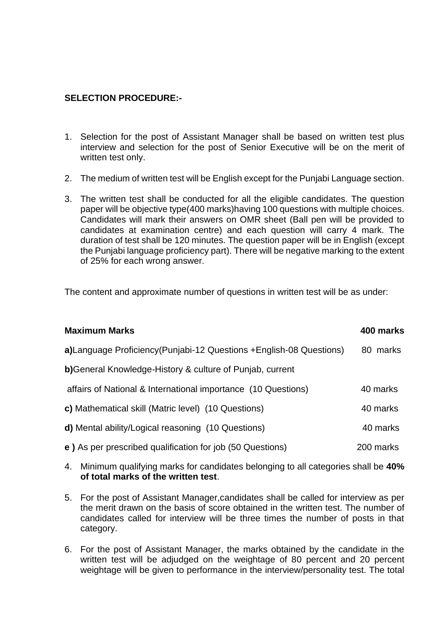#### **SELECTION PROCEDURE:-**

- 1. Selection for the post of Assistant Manager shall be based on written test plus interview and selection for the post of Senior Executive will be on the merit of written test only.
- 2. The medium of written test will be English except for the Punjabi Language section.
- 3. The written test shall be conducted for all the eligible candidates. The question paper will be objective type(400 marks)having 100 questions with multiple choices. Candidates will mark their answers on OMR sheet (Ball pen will be provided to candidates at examination centre) and each question will carry 4 mark. The duration of test shall be 120 minutes. The question paper will be in English (except the Punjabi language proficiency part). There will be negative marking to the extent of 25% for each wrong answer.

The content and approximate number of questions in written test will be as under:

| <b>Maximum Marks</b>                                                 | 400 marks |
|----------------------------------------------------------------------|-----------|
| a)Language Proficiency (Punjabi-12 Questions + English-08 Questions) | 80 marks  |
| <b>b)</b> General Knowledge-History & culture of Punjab, current     |           |
| affairs of National & International importance (10 Questions)        | 40 marks  |
| c) Mathematical skill (Matric level) (10 Questions)                  | 40 marks  |
| <b>d)</b> Mental ability/Logical reasoning (10 Questions)            | 40 marks  |
| e) As per prescribed qualification for job (50 Questions)            | 200 marks |

- 4. Minimum qualifying marks for candidates belonging to all categories shall be **40% of total marks of the written test**.
- 5. For the post of Assistant Manager,candidates shall be called for interview as per the merit drawn on the basis of score obtained in the written test. The number of candidates called for interview will be three times the number of posts in that category.
- 6. For the post of Assistant Manager, the marks obtained by the candidate in the written test will be adjudged on the weightage of 80 percent and 20 percent weightage will be given to performance in the interview/personality test. The total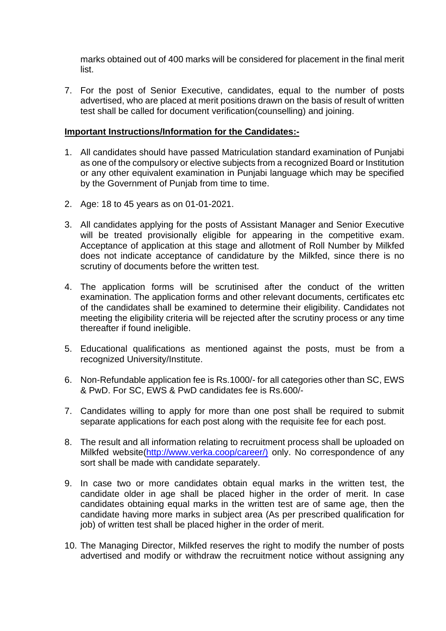marks obtained out of 400 marks will be considered for placement in the final merit list.

7. For the post of Senior Executive, candidates, equal to the number of posts advertised, who are placed at merit positions drawn on the basis of result of written test shall be called for document verification(counselling) and joining.

#### **Important Instructions/Information for the Candidates:-**

- 1. All candidates should have passed Matriculation standard examination of Punjabi as one of the compulsory or elective subjects from a recognized Board or Institution or any other equivalent examination in Punjabi language which may be specified by the Government of Punjab from time to time.
- 2. Age: 18 to 45 years as on 01-01-2021.
- 3. All candidates applying for the posts of Assistant Manager and Senior Executive will be treated provisionally eligible for appearing in the competitive exam. Acceptance of application at this stage and allotment of Roll Number by Milkfed does not indicate acceptance of candidature by the Milkfed, since there is no scrutiny of documents before the written test.
- 4. The application forms will be scrutinised after the conduct of the written examination. The application forms and other relevant documents, certificates etc of the candidates shall be examined to determine their eligibility. Candidates not meeting the eligibility criteria will be rejected after the scrutiny process or any time thereafter if found ineligible.
- 5. Educational qualifications as mentioned against the posts, must be from a recognized University/Institute.
- 6. Non-Refundable application fee is Rs.1000/- for all categories other than SC, EWS & PwD. For SC, EWS & PwD candidates fee is Rs.600/-
- 7. Candidates willing to apply for more than one post shall be required to submit separate applications for each post along with the requisite fee for each post.
- 8. The result and all information relating to recruitment process shall be uploaded on Milkfed website[\(http://www.verka.coop/career/\)](http://www.verka.coop/career/)) only. No correspondence of any sort shall be made with candidate separately.
- 9. In case two or more candidates obtain equal marks in the written test, the candidate older in age shall be placed higher in the order of merit. In case candidates obtaining equal marks in the written test are of same age, then the candidate having more marks in subject area (As per prescribed qualification for job) of written test shall be placed higher in the order of merit.
- 10. The Managing Director, Milkfed reserves the right to modify the number of posts advertised and modify or withdraw the recruitment notice without assigning any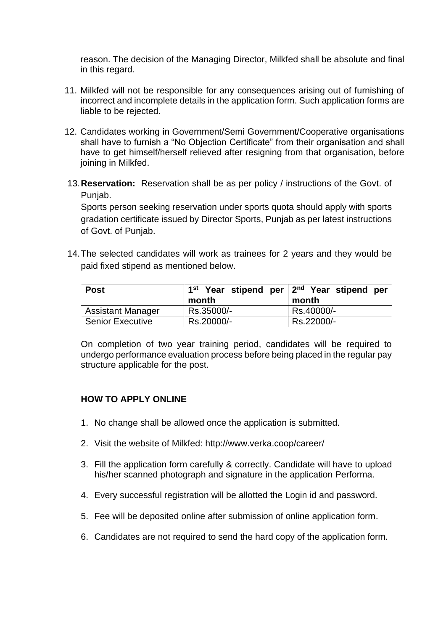reason. The decision of the Managing Director, Milkfed shall be absolute and final in this regard.

- 11. Milkfed will not be responsible for any consequences arising out of furnishing of incorrect and incomplete details in the application form. Such application forms are liable to be rejected.
- 12. Candidates working in Government/Semi Government/Cooperative organisations shall have to furnish a "No Objection Certificate" from their organisation and shall have to get himself/herself relieved after resigning from that organisation, before joining in Milkfed.
- 13.**Reservation:** Reservation shall be as per policy / instructions of the Govt. of Punjab.

Sports person seeking reservation under sports quota should apply with sports gradation certificate issued by Director Sports, Punjab as per latest instructions of Govt. of Punjab.

14.The selected candidates will work as trainees for 2 years and they would be paid fixed stipend as mentioned below.

| Post                     | $1st$ Year stipend per $2nd$ Year stipend per |            |
|--------------------------|-----------------------------------------------|------------|
|                          | month                                         | month      |
| <b>Assistant Manager</b> | Rs.35000/-                                    | Rs.40000/- |
| Senior Executive         | Rs.20000/-                                    | Rs.22000/- |

On completion of two year training period, candidates will be required to undergo performance evaluation process before being placed in the regular pay structure applicable for the post.

#### **HOW TO APPLY ONLINE**

- 1. No change shall be allowed once the application is submitted.
- 2. Visit the website of Milkfed: http://www.verka.coop/career/
- 3. Fill the application form carefully & correctly. Candidate will have to upload his/her scanned photograph and signature in the application Performa.
- 4. Every successful registration will be allotted the Login id and password.
- 5. Fee will be deposited online after submission of online application form.
- 6. Candidates are not required to send the hard copy of the application form.